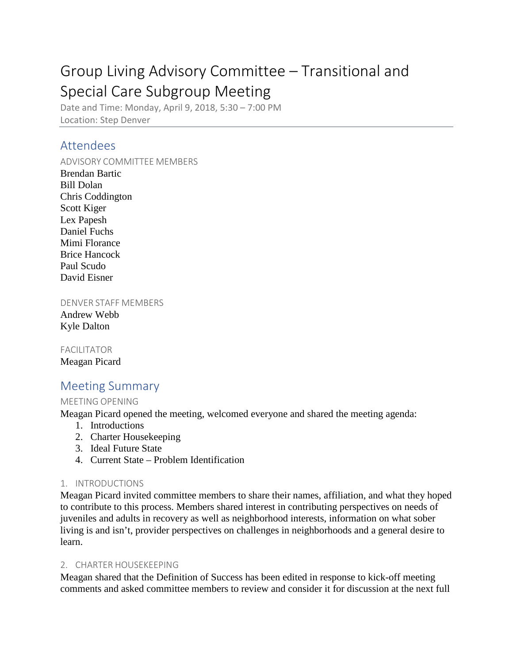# Group Living Advisory Committee – Transitional and Special Care Subgroup Meeting

Date and Time: Monday, April 9, 2018, 5:30 – 7:00 PM Location: Step Denver

# Attendees

ADVISORY COMMITTEE MEMBERS

Brendan Bartic Bill Dolan Chris Coddington Scott Kiger Lex Papesh Daniel Fuchs Mimi Florance Brice Hancock Paul Scudo David Eisner

DENVER STAFF MEMBERS

Andrew Webb Kyle Dalton

FACILITATOR Meagan Picard

# Meeting Summary

# MEETING OPENING

Meagan Picard opened the meeting, welcomed everyone and shared the meeting agenda:

- 1. Introductions
- 2. Charter Housekeeping
- 3. Ideal Future State
- 4. Current State Problem Identification

# 1. INTRODUCTIONS

Meagan Picard invited committee members to share their names, affiliation, and what they hoped to contribute to this process. Members shared interest in contributing perspectives on needs of juveniles and adults in recovery as well as neighborhood interests, information on what sober living is and isn't, provider perspectives on challenges in neighborhoods and a general desire to learn.

### 2. CHARTER HOUSEKEEPING

Meagan shared that the Definition of Success has been edited in response to kick-off meeting comments and asked committee members to review and consider it for discussion at the next full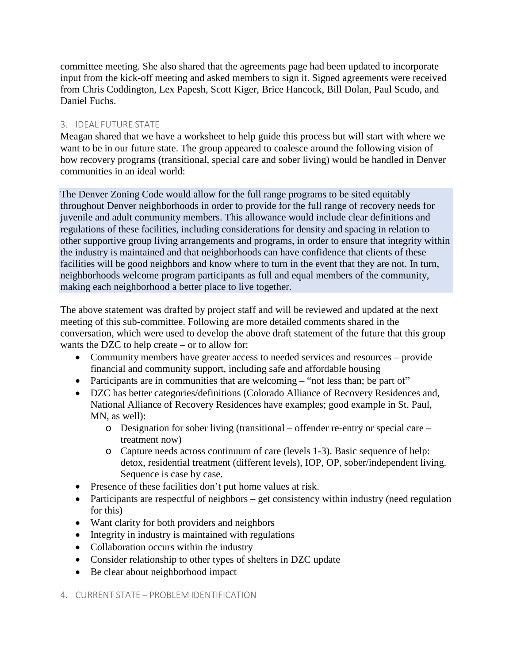committee meeting. She also shared that the agreements page had been updated to incorporate input from the kick-off meeting and asked members to sign it. Signed agreements were received from Chris Coddington, Lex Papesh, Scott Kiger, Brice Hancock, Bill Dolan, Paul Scudo, and Daniel Fuchs.

## 3. IDEAL FUTURE STATE

Meagan shared that we have a worksheet to help guide this process but will start with where we want to be in our future state. The group appeared to coalesce around the following vision of how recovery programs (transitional, special care and sober living) would be handled in Denver communities in an ideal world:

The Denver Zoning Code would allow for the full range programs to be sited equitably throughout Denver neighborhoods in order to provide for the full range of recovery needs for juvenile and adult community members. This allowance would include clear definitions and regulations of these facilities, including considerations for density and spacing in relation to other supportive group living arrangements and programs, in order to ensure that integrity within the industry is maintained and that neighborhoods can have confidence that clients of these facilities will be good neighbors and know where to turn in the event that they are not. In turn, neighborhoods welcome program participants as full and equal members of the community, making each neighborhood a better place to live together.

The above statement was drafted by project staff and will be reviewed and updated at the next meeting of this sub-committee. Following are more detailed comments shared in the conversation, which were used to develop the above draft statement of the future that this group wants the DZC to help create – or to allow for:

- Community members have greater access to needed services and resources provide financial and community support, including safe and affordable housing
- Participants are in communities that are welcoming "not less than; be part of"
- DZC has better categories/definitions (Colorado Alliance of Recovery Residences and, National Alliance of Recovery Residences have examples; good example in St. Paul, MN, as well):
	- o Designation for sober living (transitional offender re-entry or special care treatment now)
	- o Capture needs across continuum of care (levels 1-3). Basic sequence of help: detox, residential treatment (different levels), IOP, OP, sober/independent living. Sequence is case by case.
- Presence of these facilities don't put home values at risk.
- Participants are respectful of neighbors get consistency within industry (need regulation for this)
- Want clarity for both providers and neighbors
- Integrity in industry is maintained with regulations
- Collaboration occurs within the industry
- Consider relationship to other types of shelters in DZC update
- Be clear about neighborhood impact

### 4. CURRENT STATE – PROBLEM IDENTIFICATION